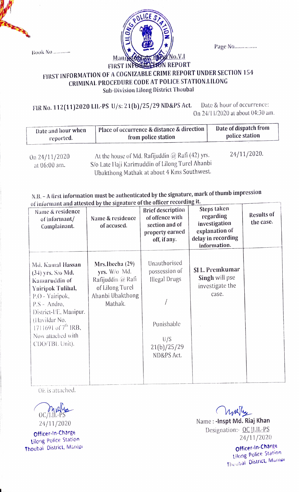**Book No...........** 



Page No................

## FIRST INFORMATION OF A COGNIZABLE CRIME REPORT UNDER SECTION 154 CRIMINAL PROCEDURE CODE AT POLICE STATION.LILONG Sub-Division lilong District Thoubal

FIR No. 112(11)2020 LIL-PS U/s: 21(b)/25/29 ND&PS Act. Date & hour of occurrence: On 24/11/2020 at about 04:30 am.

| Date and hour when | <sup>1</sup> Place of occurrence & distance & direction, | Date of dispatch from |  |
|--------------------|----------------------------------------------------------|-----------------------|--|
| reported.          | from police station                                      | police station        |  |
|                    |                                                          |                       |  |

at 06:00 am.

On  $24/11/2020$  At the house of Md. Rafijuddin @ Rafi (42) yrs. S/o Late llaji Karimuddin of L.ilong Turel Ahanbi Ubakthong Mathak at about 4 K1ms Southwest.

24/11/2020.

## N.B.- A first information must be authenticated by the signature, mark of thumb impression of iniorant and attested by the signature of the officer recording it.

| Name & residence<br>of informant/<br>Complainant.                                                                                                                                                                            | Name & residence<br>of accused.                                                                        | <b>Brief description</b><br>of offence with<br>section and of<br>property earned<br>off, if any. | Steps taken<br>regarding<br>investigation<br>explanation of<br>delay in recording<br>information. | <b>Results of</b><br>the case. |
|------------------------------------------------------------------------------------------------------------------------------------------------------------------------------------------------------------------------------|--------------------------------------------------------------------------------------------------------|--------------------------------------------------------------------------------------------------|---------------------------------------------------------------------------------------------------|--------------------------------|
| Md. Kamal Hassan<br>(34) yrs. S/o Md.<br>Kamaruddin of<br>Yairipok Tulihal,<br>P.O - Yairipok,<br>P.S - Andro,<br>District-l/E, Manipur.<br>(Havildar No.<br>1711691 of $7^{th}$ IRB,<br>Now attached with<br>CDO/TBL Unit). | Mrs.Ibecha (29)<br>yrs. W/o Md.<br>Rafijuddin @ Rafi<br>of Lilong Turel<br>Ahanbi Ubakthong<br>Mathak. | Unauthorised<br>possession of<br>Illegal Drugs<br>Punishable<br>U/S<br>21(b)/25/29<br>ND&PS Act. | SI L. Premkumar<br>Singh will pse<br>investigate the<br>case.                                     |                                |

OE is attached.



Officer-In-Charge Lilong Police Station Thoubai District, Manip

Maryly Name: -Inspt Md. Riaj Khan Designation:- OC | LIL-PS 24/11/2020

Officer-in-Charge ilong Police Station Thuubal District, Manier